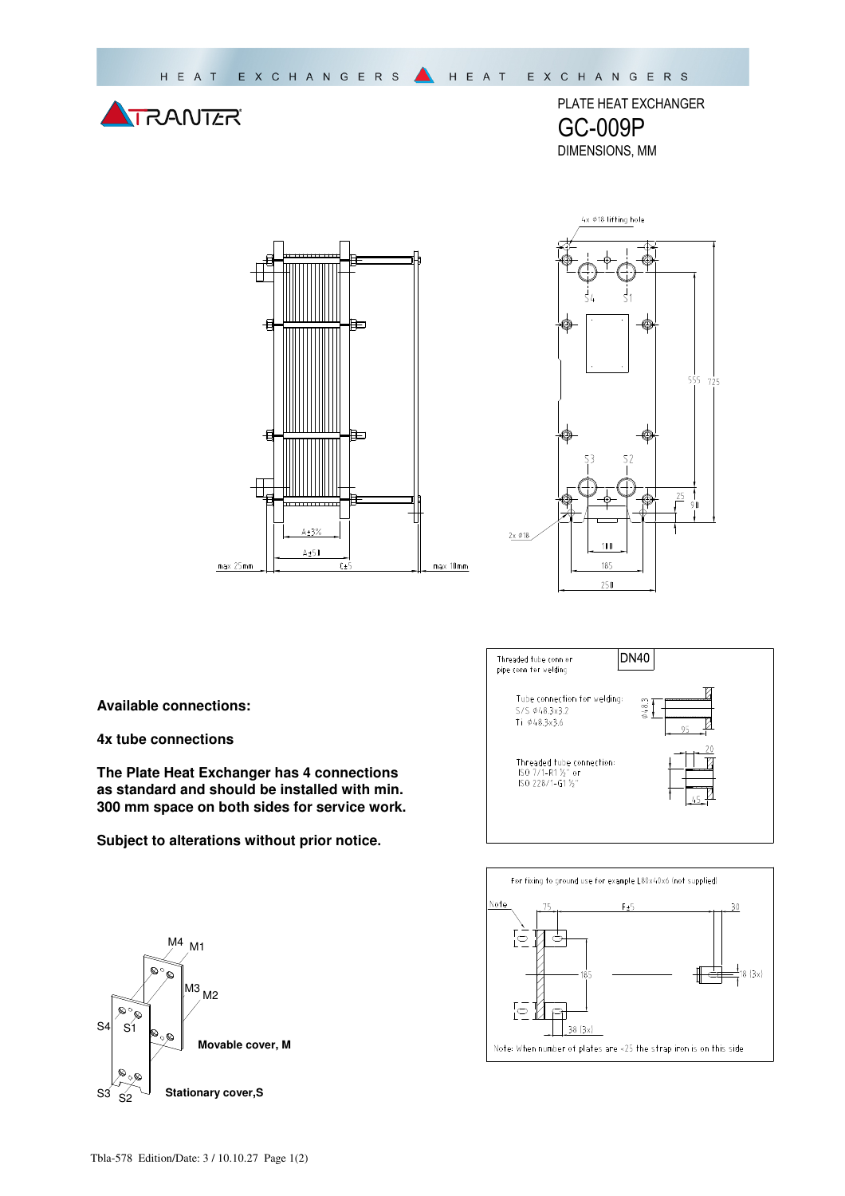

PLATE HEAT EXCHANGER GC-009P DIMENSIONS, MM





**Available connections:** 

**4x tube connections** 

**The Plate Heat Exchanger has 4 connections as standard and should be installed with min. 300 mm space on both sides for service work.** 

**Subject to alterations without prior notice.**